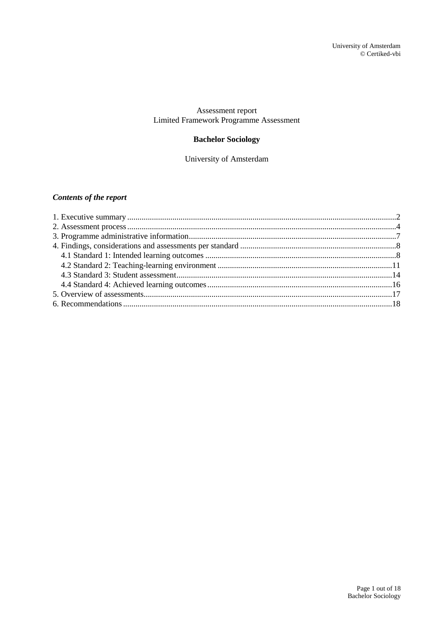## Assessment report Limited Framework Programme Assessment

# **Bachelor Sociology**

University of Amsterdam

# *Contents of the report*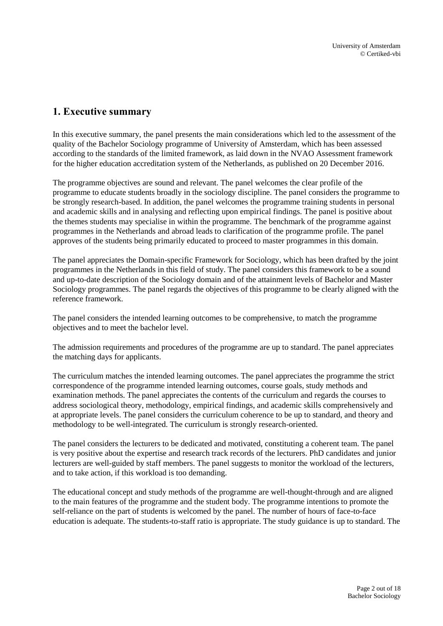# <span id="page-1-0"></span>**1. Executive summary**

In this executive summary, the panel presents the main considerations which led to the assessment of the quality of the Bachelor Sociology programme of University of Amsterdam, which has been assessed according to the standards of the limited framework, as laid down in the NVAO Assessment framework for the higher education accreditation system of the Netherlands, as published on 20 December 2016.

The programme objectives are sound and relevant. The panel welcomes the clear profile of the programme to educate students broadly in the sociology discipline. The panel considers the programme to be strongly research-based. In addition, the panel welcomes the programme training students in personal and academic skills and in analysing and reflecting upon empirical findings. The panel is positive about the themes students may specialise in within the programme. The benchmark of the programme against programmes in the Netherlands and abroad leads to clarification of the programme profile. The panel approves of the students being primarily educated to proceed to master programmes in this domain.

The panel appreciates the Domain-specific Framework for Sociology, which has been drafted by the joint programmes in the Netherlands in this field of study. The panel considers this framework to be a sound and up-to-date description of the Sociology domain and of the attainment levels of Bachelor and Master Sociology programmes. The panel regards the objectives of this programme to be clearly aligned with the reference framework.

The panel considers the intended learning outcomes to be comprehensive, to match the programme objectives and to meet the bachelor level.

The admission requirements and procedures of the programme are up to standard. The panel appreciates the matching days for applicants.

The curriculum matches the intended learning outcomes. The panel appreciates the programme the strict correspondence of the programme intended learning outcomes, course goals, study methods and examination methods. The panel appreciates the contents of the curriculum and regards the courses to address sociological theory, methodology, empirical findings, and academic skills comprehensively and at appropriate levels. The panel considers the curriculum coherence to be up to standard, and theory and methodology to be well-integrated. The curriculum is strongly research-oriented.

The panel considers the lecturers to be dedicated and motivated, constituting a coherent team. The panel is very positive about the expertise and research track records of the lecturers. PhD candidates and junior lecturers are well-guided by staff members. The panel suggests to monitor the workload of the lecturers, and to take action, if this workload is too demanding.

The educational concept and study methods of the programme are well-thought-through and are aligned to the main features of the programme and the student body. The programme intentions to promote the self-reliance on the part of students is welcomed by the panel. The number of hours of face-to-face education is adequate. The students-to-staff ratio is appropriate. The study guidance is up to standard. The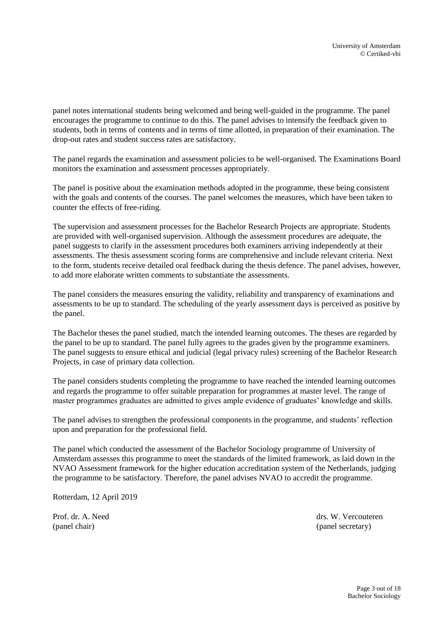panel notes international students being welcomed and being well-guided in the programme. The panel encourages the programme to continue to do this. The panel advises to intensify the feedback given to students, both in terms of contents and in terms of time allotted, in preparation of their examination. The drop-out rates and student success rates are satisfactory.

The panel regards the examination and assessment policies to be well-organised. The Examinations Board monitors the examination and assessment processes appropriately.

The panel is positive about the examination methods adopted in the programme, these being consistent with the goals and contents of the courses. The panel welcomes the measures, which have been taken to counter the effects of free-riding.

The supervision and assessment processes for the Bachelor Research Projects are appropriate. Students are provided with well-organised supervision. Although the assessment procedures are adequate, the panel suggests to clarify in the assessment procedures both examiners arriving independently at their assessments. The thesis assessment scoring forms are comprehensive and include relevant criteria. Next to the form, students receive detailed oral feedback during the thesis defence. The panel advises, however, to add more elaborate written comments to substantiate the assessments.

The panel considers the measures ensuring the validity, reliability and transparency of examinations and assessments to be up to standard. The scheduling of the yearly assessment days is perceived as positive by the panel.

The Bachelor theses the panel studied, match the intended learning outcomes. The theses are regarded by the panel to be up to standard. The panel fully agrees to the grades given by the programme examiners. The panel suggests to ensure ethical and judicial (legal privacy rules) screening of the Bachelor Research Projects, in case of primary data collection.

The panel considers students completing the programme to have reached the intended learning outcomes and regards the programme to offer suitable preparation for programmes at master level. The range of master programmes graduates are admitted to gives ample evidence of graduates' knowledge and skills.

The panel advises to strengthen the professional components in the programme, and students' reflection upon and preparation for the professional field.

The panel which conducted the assessment of the Bachelor Sociology programme of University of Amsterdam assesses this programme to meet the standards of the limited framework, as laid down in the NVAO Assessment framework for the higher education accreditation system of the Netherlands, judging the programme to be satisfactory. Therefore, the panel advises NVAO to accredit the programme.

Rotterdam, 12 April 2019

Prof. dr. A. Need drs. W. Vercouteren (panel chair) (panel secretary)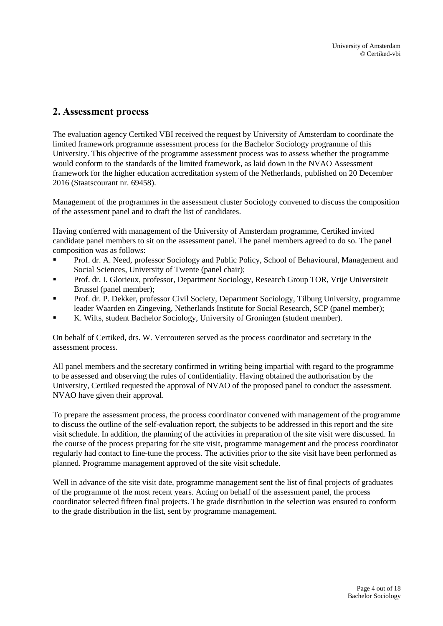# <span id="page-3-0"></span>**2. Assessment process**

The evaluation agency Certiked VBI received the request by University of Amsterdam to coordinate the limited framework programme assessment process for the Bachelor Sociology programme of this University. This objective of the programme assessment process was to assess whether the programme would conform to the standards of the limited framework, as laid down in the NVAO Assessment framework for the higher education accreditation system of the Netherlands, published on 20 December 2016 (Staatscourant nr. 69458).

Management of the programmes in the assessment cluster Sociology convened to discuss the composition of the assessment panel and to draft the list of candidates.

Having conferred with management of the University of Amsterdam programme, Certiked invited candidate panel members to sit on the assessment panel. The panel members agreed to do so. The panel composition was as follows:

- Prof. dr. A. Need, professor Sociology and Public Policy, School of Behavioural, Management and Social Sciences, University of Twente (panel chair);
- Prof. dr. I. Glorieux, professor, Department Sociology, Research Group TOR, Vrije Universiteit Brussel (panel member);
- Prof. dr. P. Dekker, professor Civil Society, Department Sociology, Tilburg University, programme leader Waarden en Zingeving, Netherlands Institute for Social Research, SCP (panel member);
- K. Wilts, student Bachelor Sociology, University of Groningen (student member).

On behalf of Certiked, drs. W. Vercouteren served as the process coordinator and secretary in the assessment process.

All panel members and the secretary confirmed in writing being impartial with regard to the programme to be assessed and observing the rules of confidentiality. Having obtained the authorisation by the University, Certiked requested the approval of NVAO of the proposed panel to conduct the assessment. NVAO have given their approval.

To prepare the assessment process, the process coordinator convened with management of the programme to discuss the outline of the self-evaluation report, the subjects to be addressed in this report and the site visit schedule. In addition, the planning of the activities in preparation of the site visit were discussed. In the course of the process preparing for the site visit, programme management and the process coordinator regularly had contact to fine-tune the process. The activities prior to the site visit have been performed as planned. Programme management approved of the site visit schedule.

Well in advance of the site visit date, programme management sent the list of final projects of graduates of the programme of the most recent years. Acting on behalf of the assessment panel, the process coordinator selected fifteen final projects. The grade distribution in the selection was ensured to conform to the grade distribution in the list, sent by programme management.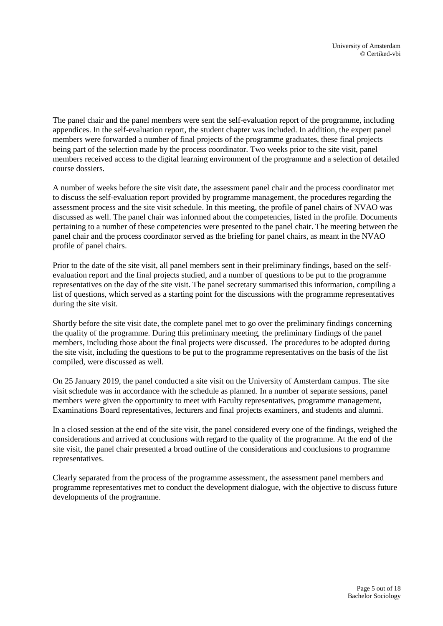The panel chair and the panel members were sent the self-evaluation report of the programme, including appendices. In the self-evaluation report, the student chapter was included. In addition, the expert panel members were forwarded a number of final projects of the programme graduates, these final projects being part of the selection made by the process coordinator. Two weeks prior to the site visit, panel members received access to the digital learning environment of the programme and a selection of detailed course dossiers.

A number of weeks before the site visit date, the assessment panel chair and the process coordinator met to discuss the self-evaluation report provided by programme management, the procedures regarding the assessment process and the site visit schedule. In this meeting, the profile of panel chairs of NVAO was discussed as well. The panel chair was informed about the competencies, listed in the profile. Documents pertaining to a number of these competencies were presented to the panel chair. The meeting between the panel chair and the process coordinator served as the briefing for panel chairs, as meant in the NVAO profile of panel chairs.

Prior to the date of the site visit, all panel members sent in their preliminary findings, based on the selfevaluation report and the final projects studied, and a number of questions to be put to the programme representatives on the day of the site visit. The panel secretary summarised this information, compiling a list of questions, which served as a starting point for the discussions with the programme representatives during the site visit.

Shortly before the site visit date, the complete panel met to go over the preliminary findings concerning the quality of the programme. During this preliminary meeting, the preliminary findings of the panel members, including those about the final projects were discussed. The procedures to be adopted during the site visit, including the questions to be put to the programme representatives on the basis of the list compiled, were discussed as well.

On 25 January 2019, the panel conducted a site visit on the University of Amsterdam campus. The site visit schedule was in accordance with the schedule as planned. In a number of separate sessions, panel members were given the opportunity to meet with Faculty representatives, programme management, Examinations Board representatives, lecturers and final projects examiners, and students and alumni.

In a closed session at the end of the site visit, the panel considered every one of the findings, weighed the considerations and arrived at conclusions with regard to the quality of the programme. At the end of the site visit, the panel chair presented a broad outline of the considerations and conclusions to programme representatives.

Clearly separated from the process of the programme assessment, the assessment panel members and programme representatives met to conduct the development dialogue, with the objective to discuss future developments of the programme.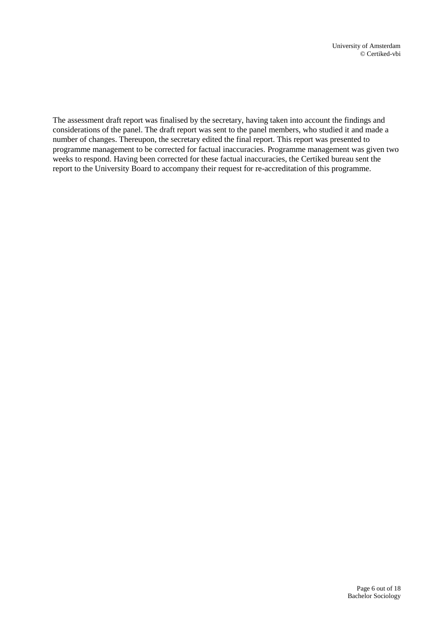The assessment draft report was finalised by the secretary, having taken into account the findings and considerations of the panel. The draft report was sent to the panel members, who studied it and made a number of changes. Thereupon, the secretary edited the final report. This report was presented to programme management to be corrected for factual inaccuracies. Programme management was given two weeks to respond. Having been corrected for these factual inaccuracies, the Certiked bureau sent the report to the University Board to accompany their request for re-accreditation of this programme.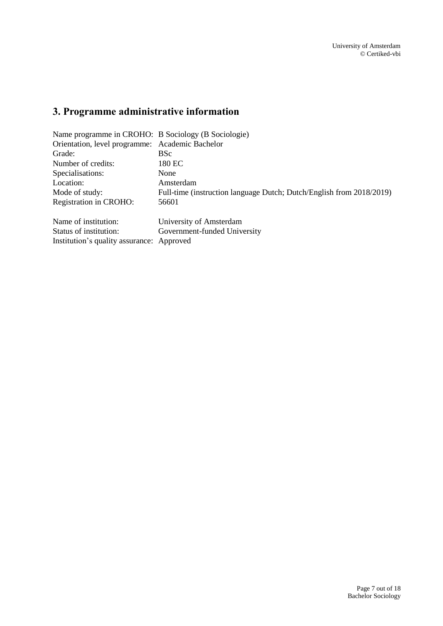# <span id="page-6-0"></span>**3. Programme administrative information**

| Name programme in CROHO: B Sociology (B Sociologie) |                                                                      |  |  |
|-----------------------------------------------------|----------------------------------------------------------------------|--|--|
| Orientation, level programme: Academic Bachelor     |                                                                      |  |  |
| Grade:                                              | <b>BSc</b>                                                           |  |  |
| Number of credits:                                  | 180 EC                                                               |  |  |
| Specialisations:                                    | None                                                                 |  |  |
| Location:                                           | Amsterdam                                                            |  |  |
| Mode of study:                                      | Full-time (instruction language Dutch; Dutch/English from 2018/2019) |  |  |
| <b>Registration in CROHO:</b>                       | 56601                                                                |  |  |
| Name of institution:                                | University of Amsterdam                                              |  |  |
| Status of institution:                              | Government-funded University                                         |  |  |
| Institution's quality assurance: Approved           |                                                                      |  |  |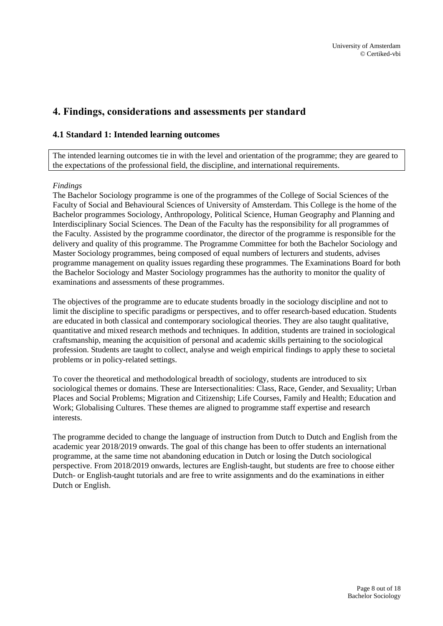# <span id="page-7-0"></span>**4. Findings, considerations and assessments per standard**

## <span id="page-7-1"></span>**4.1 Standard 1: Intended learning outcomes**

The intended learning outcomes tie in with the level and orientation of the programme; they are geared to the expectations of the professional field, the discipline, and international requirements.

#### *Findings*

The Bachelor Sociology programme is one of the programmes of the College of Social Sciences of the Faculty of Social and Behavioural Sciences of University of Amsterdam. This College is the home of the Bachelor programmes Sociology, Anthropology, Political Science, Human Geography and Planning and Interdisciplinary Social Sciences. The Dean of the Faculty has the responsibility for all programmes of the Faculty. Assisted by the programme coordinator, the director of the programme is responsible for the delivery and quality of this programme. The Programme Committee for both the Bachelor Sociology and Master Sociology programmes, being composed of equal numbers of lecturers and students, advises programme management on quality issues regarding these programmes. The Examinations Board for both the Bachelor Sociology and Master Sociology programmes has the authority to monitor the quality of examinations and assessments of these programmes.

The objectives of the programme are to educate students broadly in the sociology discipline and not to limit the discipline to specific paradigms or perspectives, and to offer research-based education. Students are educated in both classical and contemporary sociological theories. They are also taught qualitative, quantitative and mixed research methods and techniques. In addition, students are trained in sociological craftsmanship, meaning the acquisition of personal and academic skills pertaining to the sociological profession. Students are taught to collect, analyse and weigh empirical findings to apply these to societal problems or in policy-related settings.

To cover the theoretical and methodological breadth of sociology, students are introduced to six sociological themes or domains. These are Intersectionalities: Class, Race, Gender, and Sexuality; Urban Places and Social Problems; Migration and Citizenship; Life Courses, Family and Health; Education and Work; Globalising Cultures. These themes are aligned to programme staff expertise and research interests.

The programme decided to change the language of instruction from Dutch to Dutch and English from the academic year 2018/2019 onwards. The goal of this change has been to offer students an international programme, at the same time not abandoning education in Dutch or losing the Dutch sociological perspective. From 2018/2019 onwards, lectures are English-taught, but students are free to choose either Dutch- or English-taught tutorials and are free to write assignments and do the examinations in either Dutch or English.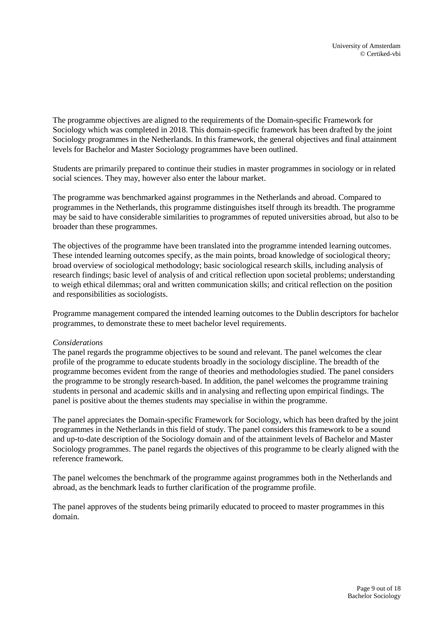The programme objectives are aligned to the requirements of the Domain-specific Framework for Sociology which was completed in 2018. This domain-specific framework has been drafted by the joint Sociology programmes in the Netherlands. In this framework, the general objectives and final attainment levels for Bachelor and Master Sociology programmes have been outlined.

Students are primarily prepared to continue their studies in master programmes in sociology or in related social sciences. They may, however also enter the labour market.

The programme was benchmarked against programmes in the Netherlands and abroad. Compared to programmes in the Netherlands, this programme distinguishes itself through its breadth. The programme may be said to have considerable similarities to programmes of reputed universities abroad, but also to be broader than these programmes.

The objectives of the programme have been translated into the programme intended learning outcomes. These intended learning outcomes specify, as the main points, broad knowledge of sociological theory; broad overview of sociological methodology; basic sociological research skills, including analysis of research findings; basic level of analysis of and critical reflection upon societal problems; understanding to weigh ethical dilemmas; oral and written communication skills; and critical reflection on the position and responsibilities as sociologists.

Programme management compared the intended learning outcomes to the Dublin descriptors for bachelor programmes, to demonstrate these to meet bachelor level requirements.

#### *Considerations*

The panel regards the programme objectives to be sound and relevant. The panel welcomes the clear profile of the programme to educate students broadly in the sociology discipline. The breadth of the programme becomes evident from the range of theories and methodologies studied. The panel considers the programme to be strongly research-based. In addition, the panel welcomes the programme training students in personal and academic skills and in analysing and reflecting upon empirical findings. The panel is positive about the themes students may specialise in within the programme.

The panel appreciates the Domain-specific Framework for Sociology, which has been drafted by the joint programmes in the Netherlands in this field of study. The panel considers this framework to be a sound and up-to-date description of the Sociology domain and of the attainment levels of Bachelor and Master Sociology programmes. The panel regards the objectives of this programme to be clearly aligned with the reference framework.

The panel welcomes the benchmark of the programme against programmes both in the Netherlands and abroad, as the benchmark leads to further clarification of the programme profile.

The panel approves of the students being primarily educated to proceed to master programmes in this domain.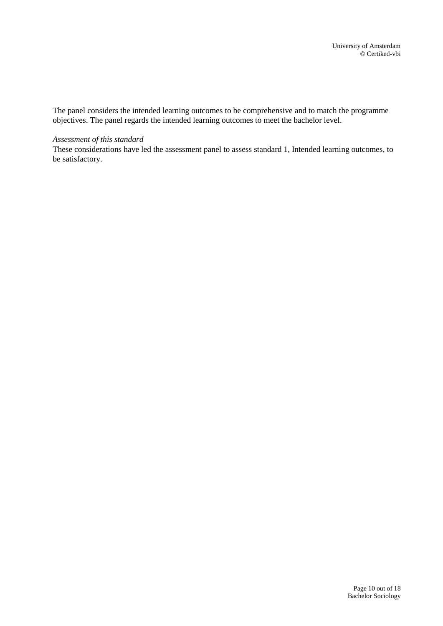The panel considers the intended learning outcomes to be comprehensive and to match the programme objectives. The panel regards the intended learning outcomes to meet the bachelor level.

#### *Assessment of this standard*

These considerations have led the assessment panel to assess standard 1, Intended learning outcomes, to be satisfactory.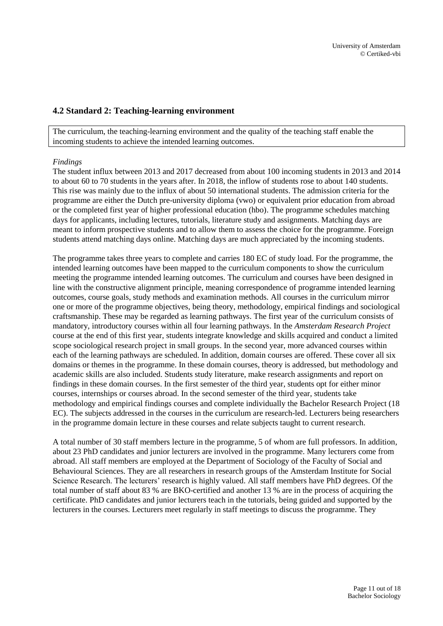### <span id="page-10-0"></span>**4.2 Standard 2: Teaching-learning environment**

The curriculum, the teaching-learning environment and the quality of the teaching staff enable the incoming students to achieve the intended learning outcomes.

#### *Findings*

The student influx between 2013 and 2017 decreased from about 100 incoming students in 2013 and 2014 to about 60 to 70 students in the years after. In 2018, the inflow of students rose to about 140 students. This rise was mainly due to the influx of about 50 international students. The admission criteria for the programme are either the Dutch pre-university diploma (vwo) or equivalent prior education from abroad or the completed first year of higher professional education (hbo). The programme schedules matching days for applicants, including lectures, tutorials, literature study and assignments. Matching days are meant to inform prospective students and to allow them to assess the choice for the programme. Foreign students attend matching days online. Matching days are much appreciated by the incoming students.

The programme takes three years to complete and carries 180 EC of study load. For the programme, the intended learning outcomes have been mapped to the curriculum components to show the curriculum meeting the programme intended learning outcomes. The curriculum and courses have been designed in line with the constructive alignment principle, meaning correspondence of programme intended learning outcomes, course goals, study methods and examination methods. All courses in the curriculum mirror one or more of the programme objectives, being theory, methodology, empirical findings and sociological craftsmanship. These may be regarded as learning pathways. The first year of the curriculum consists of mandatory, introductory courses within all four learning pathways. In the *Amsterdam Research Project* course at the end of this first year, students integrate knowledge and skills acquired and conduct a limited scope sociological research project in small groups. In the second year, more advanced courses within each of the learning pathways are scheduled. In addition, domain courses are offered. These cover all six domains or themes in the programme. In these domain courses, theory is addressed, but methodology and academic skills are also included. Students study literature, make research assignments and report on findings in these domain courses. In the first semester of the third year, students opt for either minor courses, internships or courses abroad. In the second semester of the third year, students take methodology and empirical findings courses and complete individually the Bachelor Research Project (18 EC). The subjects addressed in the courses in the curriculum are research-led. Lecturers being researchers in the programme domain lecture in these courses and relate subjects taught to current research.

A total number of 30 staff members lecture in the programme, 5 of whom are full professors. In addition, about 23 PhD candidates and junior lecturers are involved in the programme. Many lecturers come from abroad. All staff members are employed at the Department of Sociology of the Faculty of Social and Behavioural Sciences. They are all researchers in research groups of the Amsterdam Institute for Social Science Research. The lecturers' research is highly valued. All staff members have PhD degrees. Of the total number of staff about 83 % are BKO-certified and another 13 % are in the process of acquiring the certificate. PhD candidates and junior lecturers teach in the tutorials, being guided and supported by the lecturers in the courses. Lecturers meet regularly in staff meetings to discuss the programme. They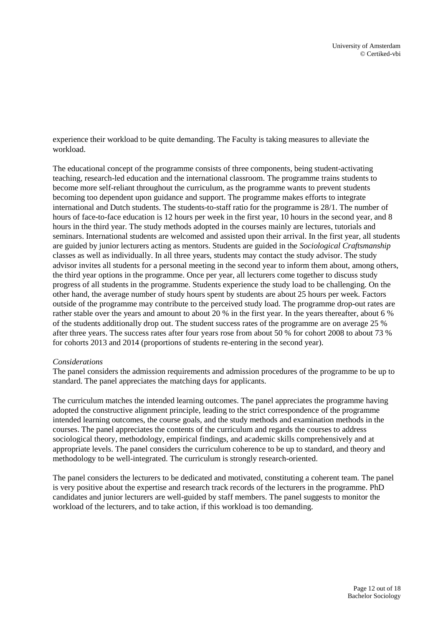experience their workload to be quite demanding. The Faculty is taking measures to alleviate the workload.

The educational concept of the programme consists of three components, being student-activating teaching, research-led education and the international classroom. The programme trains students to become more self-reliant throughout the curriculum, as the programme wants to prevent students becoming too dependent upon guidance and support. The programme makes efforts to integrate international and Dutch students. The students-to-staff ratio for the programme is 28/1. The number of hours of face-to-face education is 12 hours per week in the first year, 10 hours in the second year, and 8 hours in the third year. The study methods adopted in the courses mainly are lectures, tutorials and seminars. International students are welcomed and assisted upon their arrival. In the first year, all students are guided by junior lecturers acting as mentors. Students are guided in the *Sociological Craftsmanship* classes as well as individually. In all three years, students may contact the study advisor. The study advisor invites all students for a personal meeting in the second year to inform them about, among others, the third year options in the programme. Once per year, all lecturers come together to discuss study progress of all students in the programme. Students experience the study load to be challenging. On the other hand, the average number of study hours spent by students are about 25 hours per week. Factors outside of the programme may contribute to the perceived study load. The programme drop-out rates are rather stable over the years and amount to about 20 % in the first year. In the years thereafter, about 6 % of the students additionally drop out. The student success rates of the programme are on average 25 % after three years. The success rates after four years rose from about 50 % for cohort 2008 to about 73 % for cohorts 2013 and 2014 (proportions of students re-entering in the second year).

#### *Considerations*

The panel considers the admission requirements and admission procedures of the programme to be up to standard. The panel appreciates the matching days for applicants.

The curriculum matches the intended learning outcomes. The panel appreciates the programme having adopted the constructive alignment principle, leading to the strict correspondence of the programme intended learning outcomes, the course goals, and the study methods and examination methods in the courses. The panel appreciates the contents of the curriculum and regards the courses to address sociological theory, methodology, empirical findings, and academic skills comprehensively and at appropriate levels. The panel considers the curriculum coherence to be up to standard, and theory and methodology to be well-integrated. The curriculum is strongly research-oriented.

The panel considers the lecturers to be dedicated and motivated, constituting a coherent team. The panel is very positive about the expertise and research track records of the lecturers in the programme. PhD candidates and junior lecturers are well-guided by staff members. The panel suggests to monitor the workload of the lecturers, and to take action, if this workload is too demanding.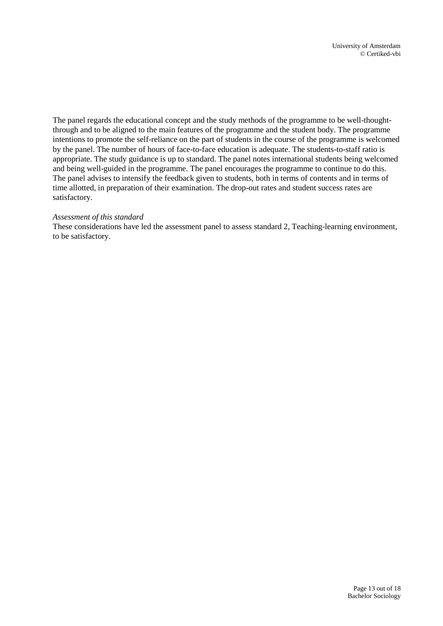The panel regards the educational concept and the study methods of the programme to be well-thoughtthrough and to be aligned to the main features of the programme and the student body. The programme intentions to promote the self-reliance on the part of students in the course of the programme is welcomed by the panel. The number of hours of face-to-face education is adequate. The students-to-staff ratio is appropriate. The study guidance is up to standard. The panel notes international students being welcomed and being well-guided in the programme. The panel encourages the programme to continue to do this. The panel advises to intensify the feedback given to students, both in terms of contents and in terms of time allotted, in preparation of their examination. The drop-out rates and student success rates are satisfactory.

#### *Assessment of this standard*

These considerations have led the assessment panel to assess standard 2, Teaching-learning environment, to be satisfactory.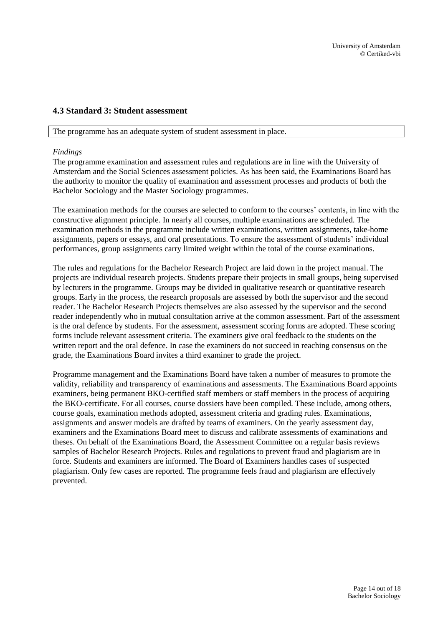### <span id="page-13-0"></span>**4.3 Standard 3: Student assessment**

#### The programme has an adequate system of student assessment in place.

#### *Findings*

The programme examination and assessment rules and regulations are in line with the University of Amsterdam and the Social Sciences assessment policies. As has been said, the Examinations Board has the authority to monitor the quality of examination and assessment processes and products of both the Bachelor Sociology and the Master Sociology programmes.

The examination methods for the courses are selected to conform to the courses' contents, in line with the constructive alignment principle. In nearly all courses, multiple examinations are scheduled. The examination methods in the programme include written examinations, written assignments, take-home assignments, papers or essays, and oral presentations. To ensure the assessment of students' individual performances, group assignments carry limited weight within the total of the course examinations.

The rules and regulations for the Bachelor Research Project are laid down in the project manual. The projects are individual research projects. Students prepare their projects in small groups, being supervised by lecturers in the programme. Groups may be divided in qualitative research or quantitative research groups. Early in the process, the research proposals are assessed by both the supervisor and the second reader. The Bachelor Research Projects themselves are also assessed by the supervisor and the second reader independently who in mutual consultation arrive at the common assessment. Part of the assessment is the oral defence by students. For the assessment, assessment scoring forms are adopted. These scoring forms include relevant assessment criteria. The examiners give oral feedback to the students on the written report and the oral defence. In case the examiners do not succeed in reaching consensus on the grade, the Examinations Board invites a third examiner to grade the project.

Programme management and the Examinations Board have taken a number of measures to promote the validity, reliability and transparency of examinations and assessments. The Examinations Board appoints examiners, being permanent BKO-certified staff members or staff members in the process of acquiring the BKO-certificate. For all courses, course dossiers have been compiled. These include, among others, course goals, examination methods adopted, assessment criteria and grading rules. Examinations, assignments and answer models are drafted by teams of examiners. On the yearly assessment day, examiners and the Examinations Board meet to discuss and calibrate assessments of examinations and theses. On behalf of the Examinations Board, the Assessment Committee on a regular basis reviews samples of Bachelor Research Projects. Rules and regulations to prevent fraud and plagiarism are in force. Students and examiners are informed. The Board of Examiners handles cases of suspected plagiarism. Only few cases are reported. The programme feels fraud and plagiarism are effectively prevented.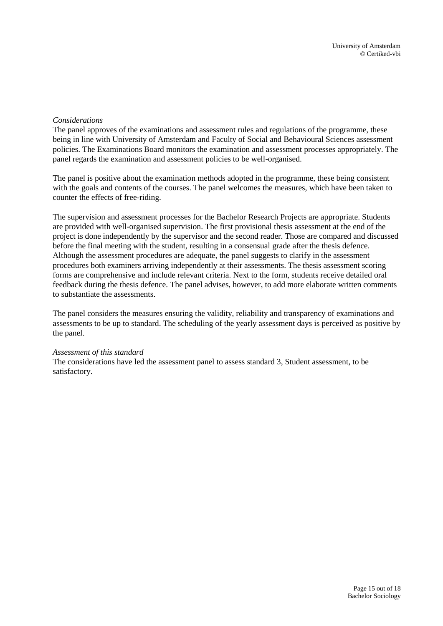#### *Considerations*

The panel approves of the examinations and assessment rules and regulations of the programme, these being in line with University of Amsterdam and Faculty of Social and Behavioural Sciences assessment policies. The Examinations Board monitors the examination and assessment processes appropriately. The panel regards the examination and assessment policies to be well-organised.

The panel is positive about the examination methods adopted in the programme, these being consistent with the goals and contents of the courses. The panel welcomes the measures, which have been taken to counter the effects of free-riding.

The supervision and assessment processes for the Bachelor Research Projects are appropriate. Students are provided with well-organised supervision. The first provisional thesis assessment at the end of the project is done independently by the supervisor and the second reader. Those are compared and discussed before the final meeting with the student, resulting in a consensual grade after the thesis defence. Although the assessment procedures are adequate, the panel suggests to clarify in the assessment procedures both examiners arriving independently at their assessments. The thesis assessment scoring forms are comprehensive and include relevant criteria. Next to the form, students receive detailed oral feedback during the thesis defence. The panel advises, however, to add more elaborate written comments to substantiate the assessments.

The panel considers the measures ensuring the validity, reliability and transparency of examinations and assessments to be up to standard. The scheduling of the yearly assessment days is perceived as positive by the panel.

#### *Assessment of this standard*

The considerations have led the assessment panel to assess standard 3, Student assessment, to be satisfactory.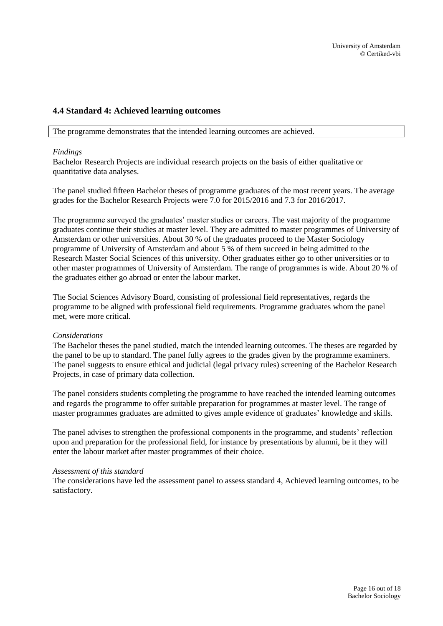### <span id="page-15-0"></span>**4.4 Standard 4: Achieved learning outcomes**

The programme demonstrates that the intended learning outcomes are achieved.

#### *Findings*

Bachelor Research Projects are individual research projects on the basis of either qualitative or quantitative data analyses.

The panel studied fifteen Bachelor theses of programme graduates of the most recent years. The average grades for the Bachelor Research Projects were 7.0 for 2015/2016 and 7.3 for 2016/2017.

The programme surveyed the graduates' master studies or careers. The vast majority of the programme graduates continue their studies at master level. They are admitted to master programmes of University of Amsterdam or other universities. About 30 % of the graduates proceed to the Master Sociology programme of University of Amsterdam and about 5 % of them succeed in being admitted to the Research Master Social Sciences of this university. Other graduates either go to other universities or to other master programmes of University of Amsterdam. The range of programmes is wide. About 20 % of the graduates either go abroad or enter the labour market.

The Social Sciences Advisory Board, consisting of professional field representatives, regards the programme to be aligned with professional field requirements. Programme graduates whom the panel met, were more critical.

#### *Considerations*

The Bachelor theses the panel studied, match the intended learning outcomes. The theses are regarded by the panel to be up to standard. The panel fully agrees to the grades given by the programme examiners. The panel suggests to ensure ethical and judicial (legal privacy rules) screening of the Bachelor Research Projects, in case of primary data collection.

The panel considers students completing the programme to have reached the intended learning outcomes and regards the programme to offer suitable preparation for programmes at master level. The range of master programmes graduates are admitted to gives ample evidence of graduates' knowledge and skills.

The panel advises to strengthen the professional components in the programme, and students' reflection upon and preparation for the professional field, for instance by presentations by alumni, be it they will enter the labour market after master programmes of their choice.

#### *Assessment of this standard*

The considerations have led the assessment panel to assess standard 4, Achieved learning outcomes, to be satisfactory.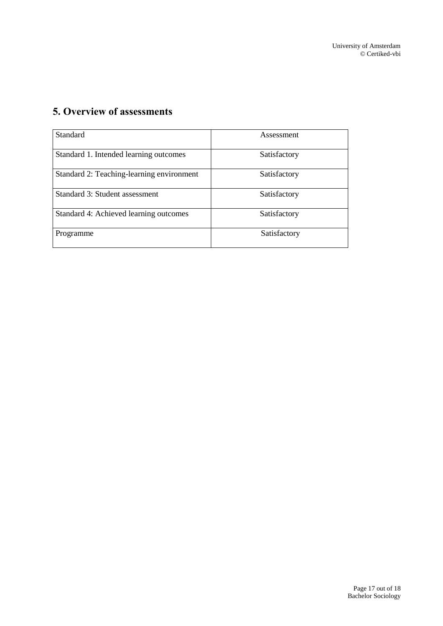# <span id="page-16-0"></span>**5. Overview of assessments**

| Standard                                  | Assessment   |
|-------------------------------------------|--------------|
| Standard 1. Intended learning outcomes    | Satisfactory |
| Standard 2: Teaching-learning environment | Satisfactory |
| Standard 3: Student assessment            | Satisfactory |
| Standard 4: Achieved learning outcomes    | Satisfactory |
| Programme                                 | Satisfactory |